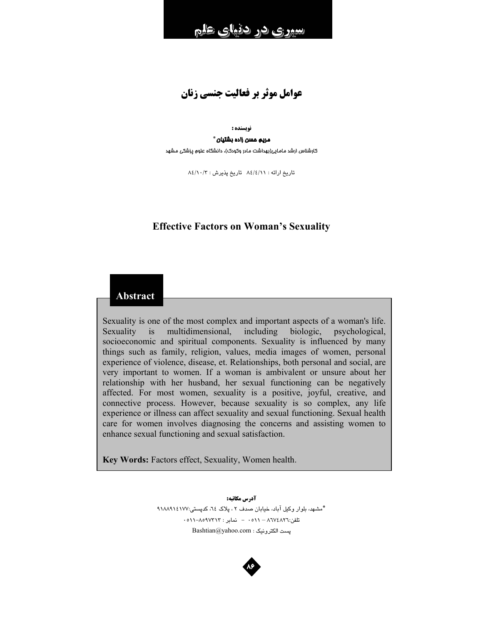عوامل موثر بر فعالیت جنسی زنان

#### نه بسنده :

#### مريم مسن زاده بشتيان \*

کارشناس ارشد مامایی(بهداشت مادر وکودک)، دانشگاه علوم پزشکی مشهد

تاريخ ارائه : ٨٤/٤/١١ تاريخ پذيرش : ٨٤/١٠/٣

# **Effective Factors on Woman's Sexuality**

# **Abstract**

Sexuality is one of the most complex and important aspects of a woman's life. Sexuality  $is$ multidimensional, including biologic, psychological, socioeconomic and spiritual components. Sexuality is influenced by many things such as family, religion, values, media images of women, personal experience of violence, disease, et. Relationships, both personal and social, are very important to women. If a woman is ambivalent or unsure about her relationship with her husband, her sexual functioning can be negatively affected. For most women, sexuality is a positive, joyful, creative, and connective process. However, because sexuality is so complex, any life experience or illness can affect sexuality and sexual functioning. Sexual health care for women involves diagnosing the concerns and assisting women to enhance sexual functioning and sexual satisfaction.

Key Words: Factors effect, Sexuality, Women health.

آدرس مكاتبه: \*مشهد، بلوار وكيل آباد، خيابان صدف ٢، پلاك ٢٤، كدپستي:١١٨٨٩١٤١٧٧ تلفن:٨٦٧٤٨٢٦ - ٥١١ - نماير : ٨٥٩٧٣١٣-٥١١-٥١١ Bashtian@yahoo.com : پست الكترونيک

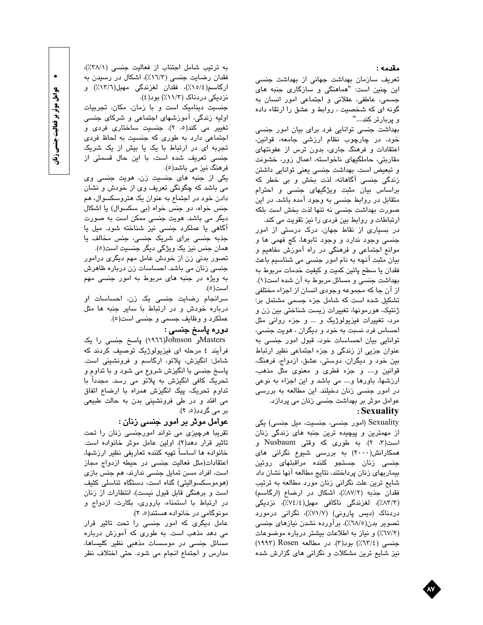مقدمه :

تعریف سازمان بهداشت جهانی از بهداشت جنسی این چنین است: "هماهنگی و سازگار*ی* جنبه های جسمی، عاطفی، عقلانی و اجتماعی امور انسان به گونه ای که شخصیت ، روابط و عشق را ارتقاء داده و پربارټر کند...."

بهداشت جنسی توانایی فرد برای بیان امور جنسی خود، در چارچوب نظام ارزشی جامعه، قوانین، اعتقادات و فرهنگ جاری، بدون ترس از عفونتهای مقاربتی، حاملگیهای ناخواسته، اعمال زور، خشونت و تبعیض است. بهداشت جنسی یعنی توانایی داشتن زندگی جنسی آگاهانه، لذت بخش و بی خطر که براساس بیان مثبت ویژگیهای جنسی و احترام متقابل در روابط جنسی به وجود آمده باشد. در این صورت بهداشت جنسی نه تنها لذت بخش است بلکه ارتباطات و روابط بین فردی را نیز تقویت می کند.

در بسیاری از نقاط جهان، درک درستی از امور جنسي وجود ندارد و وجود تابوها، کج فهمي ها و موانع اجتماعی و فرهنگی در راه اموزش مفاهیم و بیان مثبت آنچه به نام امور جنسی می شناسیم باعث فقدان يا سطح پائين كميت و كيفيت خدمات مربوط به بهداشت جنسی و مسائل مربوط به آن شده است(۱). از آن جا که مجموعه وجودی انسان از اجزاء مختلفی تشکیل شده است که شامل جزء جسمی مشتمل بر: ژنتیک، هورمونها، تغییرات زیست شناختی بین زن و مرد، تغییرات فیزیولوژیک و … و جزء روانی مثل احساس فرد نسبت به خود و دیگران ، هویت جنسی، توانایی بیان احساسات خود، قبول امور جنسی به عنوان جزیی از زندگی و جزء اجتماعی نظیر ارتباط بین خود و دیگران، دوستی، عشق، ازدواج، فرهنگ، قوانین و…. و جزء فطری و معنوی مثل مذهب، ارزشها، باورها و… می باشد و این اجزاء به نوعی در امور جنسی زنان دخیلند. این مطالعه به بررسی عوامل موثر بر بهداشت جنسی زنان می پردازد. : Sexuality

Sexuality (امور جنسی، جنسیت، میل جنسی) یکی از مهمترین و پیچیده ترین جنبه *های* زن*د*گی زنان است(۳، ۲). به طوری که وقتی Nusbaum و همکارانش(۲۰۰۰) به بررسی شیوع نگرانی های جن*سی* زنان جستجو کننده مراقبتها*ی* روتین بیماریهای زنان پرداختند، نتایج مطالعه آنها نشان داد شایع ترین علت نگرانی زنان مورد مطالعه به ترتیب فقدان جذبه (۸۷/۲٪)، اشکال در ارضاع (ارگاسم) (٨٣/٣٪)، لغزندگی ناکافی مهبل(٧٤/٤٪)، نزدیکی دردناک (دیس پارونی) (۷/۷٪)، نگرانی درمورد تصویر بدن(۷۸/۵٪)، براورده نشدن نیازهای جنسی (٦٧/٢٪) و نياز به اطلاعات بيشتر درباره موضوعات جنسبي (٦٢/٤٪) بود(٣). در مطالعه Rosen (١٩٩٣) نیز شایع ترین مشکلات و نگرانی های گزارش شده

به ترتیب شامل اجتناب از فعالیت جنسی (٣٨/١٪)، فقدان رضایت جنسی (١٦/٣٪)، اشكال در رسيدن به ارگاسم(١٥/٤٪)، فقدان لغزندگی مهبل(١٣/٦٪) و نزدیکی دردناک (۱۱/۳٪) بود(٤).

جنسیت دینامیک است و با زمان، مکان، تجربیات اولیه زندگی، آموزشهای اجتماعی و شرکای جنسی تغییر می کند(۰، ۲). جنسیت ساختاری فردی و اجتماعی دارد به طوری که جنسیت به لحاظ فردی تجربه ای در ارتباط با یک یا بیش از یک شریک جنسی تعریف شده است، با این حال قسمتی از فرهنگ نيز مي باشد(٥).

یکی از جنبه های جنسیت زن، هویت جنسی وی می باشد که چگونگی تعریف وی از خودش و نشان دادن خود در اجتماع به عنوان یک هتروسکسوال، هم جنس خواه، دو جنس خواه (بی سکسوال) یا اشکال دیگر می باشد. هویت جنسی ممکن است به صورت اگاهی یا عملکرد جنسی نیز شناخته شود. میل یا جذبه جنسی برای شریک جنسی، جنس مخالف یا همان جنس نيز يک ويژگی ديگر جنسيت است(٥).

تصور بدنی زن از خودش عامل مهم دیگر*ی* درامور جنسی زنان می باشد. احساسات زن درباره ظاهرش به ویژه در جنبه های مربوط به امور جنسی مهم است(٥).

سرانجام رضایت جنسی یک زن، احساسات او درباره خودش و در ارتباط با سایر جنبه ها مثل عملکرد و وظایف جسمی و جنسی است(٥).

### دوره پاسخ جنسی :

Mastersو Johnson(١٩٦٦) پاسخ جنسی را یک فرآیند ٤ مرحله ای فیزیولوژیک توصیف کردند که شامل: انگیزش، پلاتو، ارگاسم و فرونشینی است. پاسخ جنسی با انگیزش شروع می شود و با تداوم و تحریک کافی انگیزش به پلاتو می رسد. مجدداً با تداوم تحریک، پیک انگیزش همراه با ارضاع اتفاق می افتد و در طی فرونشینی بدن به حالت طبیعی بر می گردد(۵، ۲).

## عوامل موٹر بر امور جنسی زنان :

تقریبا هرچیزی می تواند امورجنسی زنان را تحت تاثير قرار دهد(٢). اولين عامل موثر خانواده است. خانواده ها اساساً تهيه كننده تعاريفي نظير ارزشها، اعتقادات(مثل فعالیت جنسی در حیطه ازدواج مجاز است، افراد مسن تمایل جنسی ندارند، هم جنس بازی (هوموسكسواليتي) گناه است، دستگاه تناسلي كثيف است و برهنگی قابل قبول نیست)، انتظارات از زنان در ارتباط با استمناء، باروری، بکارت، ازدواج و مونوگامی در خانواده هستند(۰، ۲).

عامل دیگری که امور جنسی را تحت تاثیر قرار می دهد مذهب است. به طوری که آموزش درباره مسائل جنسی در موسسات مذهبی نظیر کلیساها، مدارس و اجتماع انجام می شود. حتی اختلاف نظر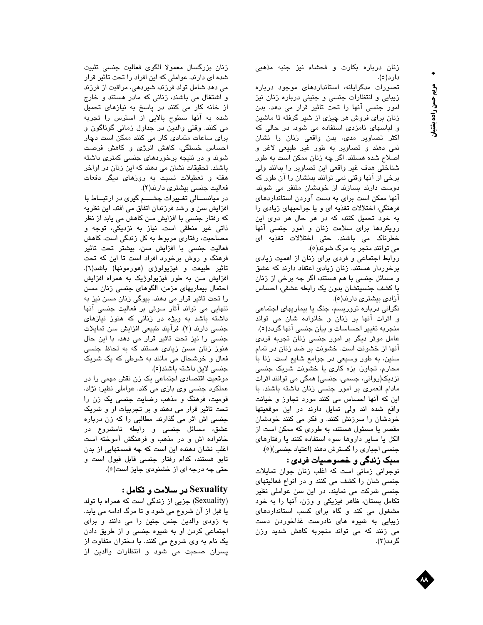زنان درباره بكارت و فحشاء نيز جنبه مذهبى دارد(٥).

تصورات مدگرایانه، استانداردهای موجود درباره زیبایی و انتظارات جنسی و جنینی درباره زنان نیز امور جنسی آنها را تحت تاثیر قرار می دهد. بدن زنان برای فروش هر چیزی از شیر گرفته تا ماشین و لباسهای نامزدی استفاده می شود. در حالی که اکثر تصاویر مدی، بدن واقعی زنان را نشان نمی دهند و تصاویر به طور غیر طبیعی لاغر و اصلاح شده هستند. اگر چه زنان ممکن است به طور شناختی هدف غیر واقعی این تصاویر را بدانند ولی برخی از آنها وقتی نمی توانند بدنشان را آن طور که دوست دارند بسازند از خودشان متنفر می شوند. انها ممکن است برای به دست اوردن استانداردهای فرهنگی، اختلالات تغذیه ای و یا جراحیهای زیادی را به خود تحمیل کنند، که در هر حال هر دوی این رویکردها برا*ی* سلامت زنان و امور جنسی انها خطرناک می باشند. حتی اختلالات تغذیه ای مي توانند منجر به مرگ شوند(٥).

روابط اجتماعی و فردی برای زنان از اهمیت زیادی برخوردار هستند. زنان زیادی اعتقاد دارند که عشق و مسائل جنسی با هم هستند، اگر چه برخی از زنان با کشف جنسیتشان بدون یک رابطه عشقی، احساس آزادی بیشتری دارند(٥).

نگرانی درباره تروریسم، جنگ یا بیماریهای اجتماعی و اثرات آنها بر زنان و خانواده شان می تواند منجربه تغییر احساسات و بیان جنسی آنها گردد(٥). عامل موثر دیگر بر امور جنسی زنان تجربه فردی آنها از خشونت است. خشونت بر ضد زنان در تمام سنین، به طور وسیعی در جوامع شایع است. زنا با محارم، تجاوز، بزه کاری یا خشونت شریک جنسی نزدیک(روانی، جسمی، جنسی) همگی می توانند اثرات مادام العمری بر امور جنسی زنان داشته باشند. با این که آنها احساس می کنند مورد تجاوز و خیانت واقع شده اند ولی تمایل دارند در این موقعیتها خودشان را سرزنش کنند. و فکر می کنند خودشان مقصر یا مسئول هستند، به طوری که ممکن است از الکل یا سایر داروها سوء استفاده کنند یا رفتارهای جنسی اجباری را گسترش دهند (اعتیاد جنسی)(٥).

سبک زندگی و خصوصیات فردی :

نوجوانی زمانی است که اغلب زنان جوان تمایلات جنسی شان را کشف می کنند و در انواع فعالیتهای جنسی شرکت می نمایند. در این سن عواملی نظیر تکامل پستان، ظاهر فیزیکی و وزن، انها را به خود مشغول می کند و گاه برای کسب استانداردهای زیبایی به شیوه های نادرست غذاخوردن دست می زنند که می تواند منجربه کاهش شدید وزن گردد(۲).

زنان بزرگسال معمولا الگوی فعالیت جنسی تثبیت شده ای دارند. عواملی که این افراد را تحت تاثیر قرار می دهد شامل تولد فرزند، شیردهی، مراقبت از فرزند و اشتغال می باشند، زنانی که مادر هستند و خارج از خانه کار می کنند در پاسخ به نیازهای تحمیل شده به انها سطوح بالایی از استرس را تجربه می کنند. وقتی والدین در جداول زمانی گوناگون و برای ساعات متمادی کار می کنند ممکن است دچار احساس خستگی، کاهش انرژی و کاهش فرصت شوند و در نتیجه برخوردهای جنسی کمتری داشته باشند. تحقیقات نشان می دهند که این زنان در اواخر هفته و تعطیلات نسبت به روزهای دیگر دفعات فعالیت جنسی بیشتری دارند(۲).

در میانســـالی تغــییرات چشـــــم گیری در ارتبـــاط با افزایش سن و رشد فرزندان اتفاق می افتد. این نظریه که رفتار جنسی با افزایش سن کاهش می یابد از نظر ذاتی غیر منطقی است. نیاز به نزدیکی، توجه و مصاحبت، رفتاری مربوط به کل زندگی است. کاهش فعالیت جنسی با افزایش سن، بیشتر تحت تاثیر فرهنگ و روش برخورد افراد است تا این که تحت تاثير طبيعت و فيزيولوژي (هورمونها) باشد(٦). افزایش سن به طور فیزیولوژیک به همراه افزایش احتمال بیماریها*ی* مزمن، الگوهای جنسی زنان مسن را تحت تاثیر قرار می دهند. بیوگی زنان مسن نیز به تنهایی می تواند آثار سوئی بر فعالیت جنس*ی* آنها داشته باشد به ویژه در زنانی که هنوز نیازهای جنسی دارند (۲). فرآیند طبیعی افزایش سن تمایلات جنسی را نیز تحت تاثیر قرار می دهد. با این حال هنوز زنان مسن زیا*دی* هستند که به لحاظ جنس*ی* فعال و خوشحال می مانند به شرطی که یک شریک جنسى لايق داشته باشند(٥).

موقعیت اقتصادی اجتماعی یک زن نقش مهمی را در عملکرد جنسی وی بازی می کند. عواملی نظیر: نژاد، قومیت، فرهنگ و مذهب رضایت جنسی یک زن را تحت تاثیر قرار می دهند و بر تجربیات او و شریک جنسی اش اثر می گذارند. مطالبی را که زن درباره عشق، مسائل جنسی و رابطه نامشروع در خانواده اش و در مذهب و فرهنگش اموخته است اغلب نشان دهنده این است که چه قسمتهایی از بدن تابو هستند، کدام رفتار جنسی قابل قبول است و حتی چه درجه ای از خشنودی جایز است(٥).

## Sexuality در سلامت و تکامل :

(Sexuality) جزیی از زندگی است که همراه با تولد یا قبل از آن شروع می شود و تا مرگ ادامه می یابد. به زودی والدین جنس جنین را می دانند و برای اجتماعی کردن او به شیوه جنسی و از طریق دادن یک نام به وی شروع می کنند. با دختران متفاوت از پسران صحبت می شود و انتظارات والدین از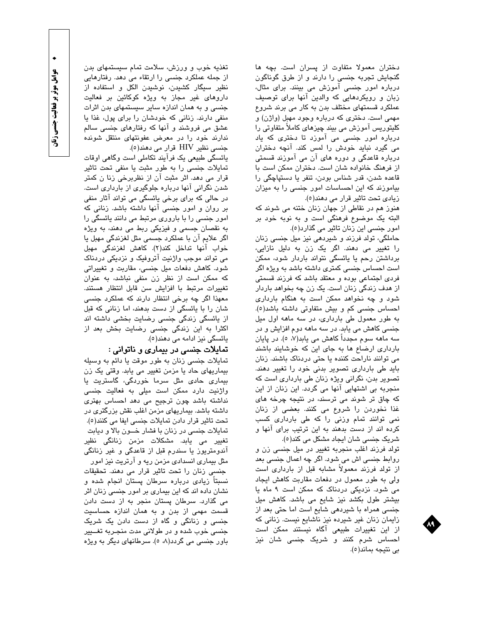دختران معمولا متفاوت از پسران است. بچه ها گنجایش تجربه جنسی را دارند و از طرق گوناگون دربارہ امور جنسی اموزش می بینند. برای مثال، زبان و رویکردهایی که والدین انها برای توصیف عملکرد قسمتهای مختلف بدن به کار می برند شروع مهمي است. دختري که درباره وجود مهبل (واژن) و کلیتوریس آموزش می بیند چیزهای کاملاً متفاوتی را درباره امور جنسی می آموزد تا دختری که یاد می گیرد نباید خودش را لمس کند. آنچه دختران درباره قاعدگی و دوره های ان می اموزند قسمتی از فرهنگ خانواده شان است. دختران ممکن است با قاعده شدن، قدر شناس بودن، تنفر يا دستپاچگی را بیاموزند که این احساسات امور جنسی را به میزان زیا*دی* تحت تاثیر قرار می د*ه*ند(٥).

هنوز هم در نقاطی از جهان زنان ختنه می شوند که البته یک موضوع فرهنگی است و به نوبه خود بر امور جنسی این زنان تاثیر می گذارد(٥).

حاملگی، تولد فرزند و شیردهی نیز میل جنسی زنان را تغییر می دهند. اگر یک زن به دلیل نازایی، برداشتن رحم یا یائسگی نتواند باردار شود، ممکن است احساس جنسی کمتری داشته باشد به ویژه اگر فر*دی* اجتماعی بوده و معتقد باشد که فرزند قسمتی از هدف زندگی زنان است. یک زن چه بخواهد باردار شود و چه نخواهد ممکن است به هنگام بارداری احساس جنسی کم و بیش متفاوتی داشته باشد(٥). به طور معمول طی بارداری، در سه ماهه اول میل جنسی کاهش می یابد. در سه ماهه دوم افزایش و در سه ماهه سوم مجدداً کاهش می یابد(۷، ٥). در پایان بارداری ارضاع ها به جای این که خوشایند باشند می توانند ناراحت کننده یا حتی دردناک باشند. زنان باید طی بارداری تصویر بدنی خود را تغییر دهند. تصویر بدن، نگرانی ویژه زنان طی بارداری است که منجربه بی اشتهایی آنها می گردد. این زنان از این که چاق تر شوند می ترسند، در نتیجه چرخه *های* غذا نخوردن را شروع می کنند. بعضی از زنان نمی توانند تمام وزنی را که طی بارداری کسب کرده اند از دست بدهند به این ترتیب برای انها و شريک جنسی شان ايجاد مشکل می کند(٥).

تولد فرزند اغلب منجربه تغییر در میل جنسی زن و روابط جنسی اش می شود. اگر چه اعمال جنسی بعد از تولد فرزند معمولاً مشابه قبل از بارداری است ولی به طور معمول در دفعات مقاربت کاهش ایجاد می شود. نزدیکی دردناک که ممکن است ۹ ماه یا بیشتر طول بکشد نیز شایع می باشد. کاهش میل جنسی همراه با شیردهی شایع است اما حتی بعد از زایمان زنان غیر شیرده نیز ناشایع نیست. زنانی که از این تغییرات طبیعی آگاه نیستند ممکن است احساس شرم کنند و شریک جنسی شان نیز بي نتيجه بماند(٥).

تغذیه خوب و ورزش، سلامت تمام سیستمهای بدن از جمله عملکرد جنسی را ارتقاء می دهد. رفتارهایی نظیر سیگار کشیدن، نوشیدن الکل و استفاده از دارو*ه*ای غیر مجاز به ویژه کوکائین بر فعالیت جنسی و به همان اندازه سایر سیستمهای بدن اثرات منفی دارند. زنانی که خودشان را برای پول، غذا یا عشق می فروشند و آنها که رفتارهای جنسی سالم ندارند خود را در معرض عفونتهای منتقل شونده جنسی نظیر HIV قرار می دهند(٥).

پائسگی طبیعی یک فرآیند تکاملی است وگاهی اوقات تمایلات جنسی را به طور مثبت یا منفی تحت تاثیر قرار می دهد. اثر مثبت آن از نظربرخی زنا ن کمتر شدن نگرانی آنها درباره جلوگیری از بارداری است. در حالی که برا*ی* برخی یائسگی می تواند اثار منفی بر روان و امور جنسی آنها داشته باشد. زنانی که امور جن*سی* را با بارور*ی* مرتبط می دانند یائسگی را به نقصان جسمی و فیزیکی ربط می دهند، به ویژه اگر علایم آن با عملکرد جسمی مثل لغزندگی مهبل یا خواب آنها تداخل کند(۲). کاهش لغزندگی مهبل می تواند موجب واژنیت اتروفیک و نزدیکی دردناک شود. کاهش دفعات میل جنسی، مقاربت و تغییراتی که ممکن است از نظر زن منفی نباشد، به عنوان تغییرات مرتبط با افزایش سن قابل انتظار هستند. معهذا اگر چه برخی انتظار دارند که عملکرد جنسی شان را با یائسگی از دست بدهند، اما زنانی که قبل از یائسگی زندگی جنسی رضایت بخشی داشته اند اکثرا به این زندگی جنسی رضایت بخش بعد از يائسگى نيز ادامه مى دهند(٥).

#### تمايلات جنسي در بيماري و ناتواني :

تمايلات جنسي زنان به طور موقت يا دائم به وسيله بیماریهای حاد یا مزمن تغییر می یابد. وقتی یک زن بیمار*ی* حاد*ی* مثل سرما خوردگی، گاستریت یا واژنیت دارد ممکن است میلی به فعالیت جنسی نداشته باشد چون ترجیح می دهد احساس بهتری داشته باشد. بیماریهای مزمن اغلب نقش بزرگتری در تحت تاثير قرار دادن تمايلات جنسي ايفا مي كنند(٥). تمایلات جنسی در زنان با فشار خــون بالا و دیابت تغییر می یابد. مشکلات مزمن زنانگی نظیر آندومتریوز یا سندرم قبل از قاعدگی و غیر زنانگی مثل بیماری انسدادی مزمن ریه و آرتریت نیز امور جنسی زنان را تحت تاثیر قرار می دهند. تحقیقات نسبتاً زیا*دی* درباره سرطان پستان انجام شده و نشان داده اند که این بیماری بر امور جنسی زنان اثر می گذارد. سرطان پستان منجر به از دست دادن قسمت مهمی از بدن و به همان اندازه حساسیت جنسی و زنانگی و گاه از دست دادن یک شریک جنسی خوب شده و در طولانی مدت منجـربه تغــییر باور جنسی می گردد(۸، ٥). سرطانهای دیگر به ویژه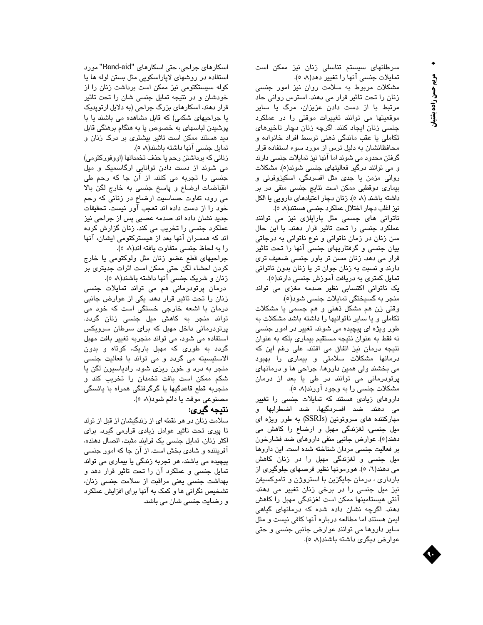سرطانهای سیستم تناسلی زنان نیز ممکن است تمایلات جنسی آنها را تغییر دهد(۸، ٥).

مشکلات مربوط به سلامت روان نیز امور جنسی زنان را تحت تاثیر قرار می دهند. استرس روانی حاد مرتبط با از دست دادن عزیزان، مرگ یا سایر موقعیتها می توانند تغییرات موقتی را در عملکرد جنسی زنان ایجاد کنند. اگرچه زنان دچار تاخیرهای تکاملی یا عقب ماندگی ذهنی توسط افراد خانواده و محافظانشان به دلیل ترس از مورد سوء استفاده قرار گرفتن محدود می شوند اما آنها نیز تمایلات جنسی دارند و می توانند درگیر فعالیتهای جنسی شوند(٥). مشکلات روانی مزمن یا جدی مثل افسردگی، اسکیزوفرنی و بیماری دوقطبی ممکن است نتایج جنسی منفی در بر داشته باشند (۸ ٥). زنان دچار اعتیادهای دارویی یا الکل نیز اغلب دچار اختلال عملکرد جنسی هستند(۸ ه).

ناتوانی های جسمی مثل پاراپلژی نیز می توانند عملکرد جنسی را تحت تاثیر قرار دهند. با این حال سن زنان در زمان ناتوانی و نوع ناتوانی به درجاتی بیان جنسی و گرفتاریهای جنسی آنها را تحت تاثیر قرار می دهد. زنان مسن تر باور جنسی ضعیف تری دارند و نسبت به زنان جوان تر یا زنان بدون ناتوانی تمایل کمتری به دریافت آموزش جنسی دارند(٥). یک ناتوانی اکتسابی نظیر صدمه مغزی می تواند

منجر به گسیختگی تمایلات جنسی شود(٥). وقتی زن هم مشکل ذهنی و هم جسمی یا مشکلات تکاملی و یا سایر ناتوانیها را داشته باشد مشکلات به طور ویژه ا*ی* پیچیده می شوند. تغییر در امور جنسی نه فقط به عنوان نتیجه مستقیم بیماری بلکه به عنوان نتیجه درمان نیز اتفاق می افتند. علی رغم این که درمانها مشکلات سلامتی و بیماری را بهبود می بخشند ولی همین داروها، جراحی ها و درمانهای پرتودرمانی می توانند در طی یا بعد از درمان مشکلات جنسی را به وجود آورند(۸، ٥).

دارو*ه*ای زیا*دی* هستند که تمایلات جنسی را تغییر می دهند. ضد افسردگیها، ضد اضطرابها و مهارکننده های سروتونین (SSRIs) به طور ویژه ای میل جنسی، لغزندگی مهبل و ارضاع را کاهش می دهند(٥). عوارض جانبی منفی داروهای ضد فشارخون بر فعالیت جنسی مردان شناخته شده است. این داروها میل جن*سی* و لغزندگ*ی* مهبل را در زنان کا*ه*ش می دهند(٦، ٥). هورمونها نظیر قرصهای جلوگیری از باردار*ی* ، درمان جایگزین با استروژن و تاموکسیفن نیز میل جن*سی* را در برخ*ی* زنان تغییر م*ی* د*ه*ند. آنتی هیستامینها ممکن است لغزندگی مهبل را کاهش دهند. اگرچه نشان داده شده که درمانها*ی* گیا*هی* ایمن هستند اما مطالعه درباره آنها کافی نیست و مثل سایر داروها می توانند عوارض جانبی جنسی و حتی عوارض ديگرى داشته باشند(۸، ٥).

اسکارهای جراحی، حتی اسکارهای "Band-aid" مورد استفاده در روشهای لاپاراسکوپی مثل بستن لوله ها یا کوله سیستکتومی نیز ممکن است برداشت زنان را از خودشان و در نتیجه تمایل جنسی شان را تحت تاثیر قرار دهند. اسکارهای بزرگ جراحی (به دلایل ارتوپدیک یا جراحیهای شکمی) که قابل مشاهده می باشند یا با پوشیدن لباسهای به خصوص یا به هنگام برهنگی قابل دید هستند ممکن است تاثیر بیشتری بر درک زنان و تمایل جنسی آنها داشته باشند(۸، ٥).

زنانی که برداشتن رحم یا حذف تخمدانها (اووفورکتومی) می شوند از دست دادن توانایی ارگاسمیک و میل جنسی را تجربه می کنند. از آن جا که رحم طی انقباضات ارضاع و پاسخ جنسی به خارج لگن بالا می رود، تفاوت حساسیت ارضاع در زنانی که رحم خود را از دست داده اند تعجب آور نیست. تحقیقات جدید نشان داده اند صدمه عصبی پس از جراحی نیز عملکرد جنسی را تخریب می کند. زنان گزارش کرده اند که همسران آنها بعد از هیسترکتومی ایشان، آنها را به لحاظ جنسى متفاوت يافته اند(∧، ٥).

جراحيهاي قطع عضو زنان مثل ولوكتومي يا خارج کردن احشاء لگن حتی ممکن است اثرات جدیتری بر زنان و شریک جنسی آنها داشته باشند(۸، ه).

درمان پرتودرمانی هم می تواند تمایلات جنسی زنان را تحت تاثیر قرار دهد. یکی از عوارض جانبی درمان با اشعه خارجی خستگی است که خود می تواند منجر به کاهش میل جنسی زنان گردد. پرتودرمانی داخل مهبل که برای سرطان سرویکس استفاده می شود، می تواند منجربه تغییر بافت مهبل گردد به طوری که مهبل باریک، کوتاه و بدون الاستیسیته می گردد و می تواند با فعالیت جنسی منجر به درد و خون ریزی شود. رادیاسیون لگن یا شکم ممکن است بافت تخمدان را تخریب کند و منجربه قطع قاعدگیها یا گرگرفتگی همراه با یائسگی مصنوعي موقت يا دائم شود(٨، ٥).

### نتيجه كيرى:

سلامت زنان در هر نقطه ای از زندگیشان از قبل از تولد تا پیری تحت تاثیر عوامل زیا*دی* قرارمی گیرد. برای اکثر زنان، تمایل جنسی یک فرایند مثبت، اتصال دهنده، آفریننده و شا*دی* بخش است. از آن جا که امور جن*سی* پیچیده می باشند، هر تجربه زندگی یا بیمار*ی* می توان*د* تمایل جنسی و عملکرد آن را تحت تاثیر قرار دهد و بهداشت جنسی یعنی مراقبت از سلامت جنسی زنان، تشخیص نگرانی ها و کمک به آنها برای افزایش عملکرد و رضایت جنسی شان می باشد.

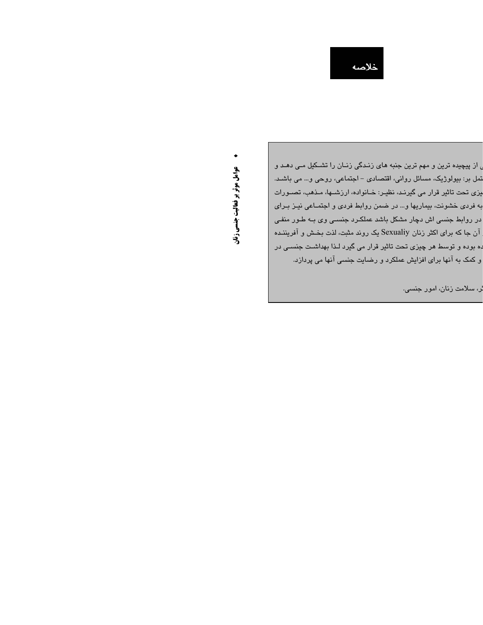خلاصه

<sub>ی</sub> از پیچیده ترین و مهم ترین جنبه *ه*ای زنـدگی زنـان را تشــکیل مـی د*ه*ـد و تمل بر: بیولوڑیک، مسائل روانی، اقتصادی – اجتماعی، روحی و… می باشـد. یزی تحت تاثیر قرار می گیرنـد، نظیـر: خـانواده، ارزشــها، مـذهب، تصــورات به فردی خشونت، بیماریها و… در ضمن روابط فردی و اجتمـاعی نیـز بـرای در روابط جنسی اش دچار مشکل باشد عملکـرد جنسـی وی بــه طـور منفـی آن جا که برای اکثر زنان Sexualiy یک روند مثبت، لذت بخش و آفریننـده .ه بوده و توسط هر چیزی تحت تاثیر قرار می گیرد لـذا بهداشـت جنسـی در و کمک به آنها برای افزایش عملکرد و رضایت جنسی آنها می پردازد.

لر، سلامت زنان، امور جنسی.

**. حوامل موثر بر فعالیت جنسی زنان**